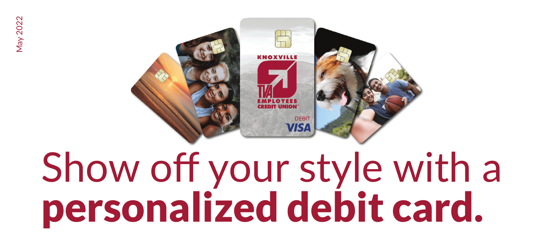

# Show off your style with a personalized debit card.